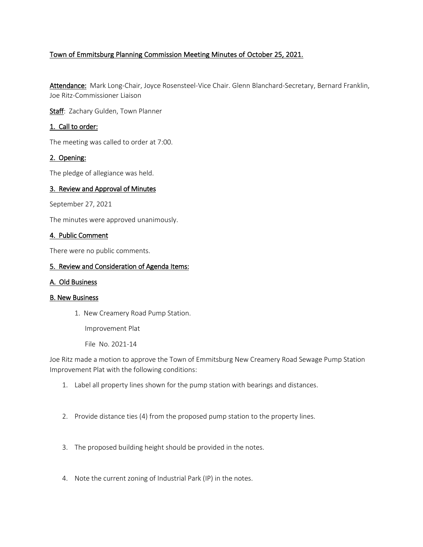# Town of Emmitsburg Planning Commission Meeting Minutes of October 25, 2021.

Attendance: Mark Long-Chair, Joyce Rosensteel-Vice Chair. Glenn Blanchard-Secretary, Bernard Franklin, Joe Ritz-Commissioner Liaison

Staff: Zachary Gulden, Town Planner

# 1. Call to order:

The meeting was called to order at 7:00.

## 2. Opening:

The pledge of allegiance was held.

## 3. Review and Approval of Minutes

September 27, 2021

The minutes were approved unanimously.

#### 4. Public Comment

There were no public comments.

#### 5. Review and Consideration of Agenda Items:

#### A. Old Business

#### B. New Business

1. New Creamery Road Pump Station.

Improvement Plat

File No. 2021-14

Joe Ritz made a motion to approve the Town of Emmitsburg New Creamery Road Sewage Pump Station Improvement Plat with the following conditions:

- 1. Label all property lines shown for the pump station with bearings and distances.
- 2. Provide distance ties (4) from the proposed pump station to the property lines.
- 3. The proposed building height should be provided in the notes.
- 4. Note the current zoning of Industrial Park (IP) in the notes.